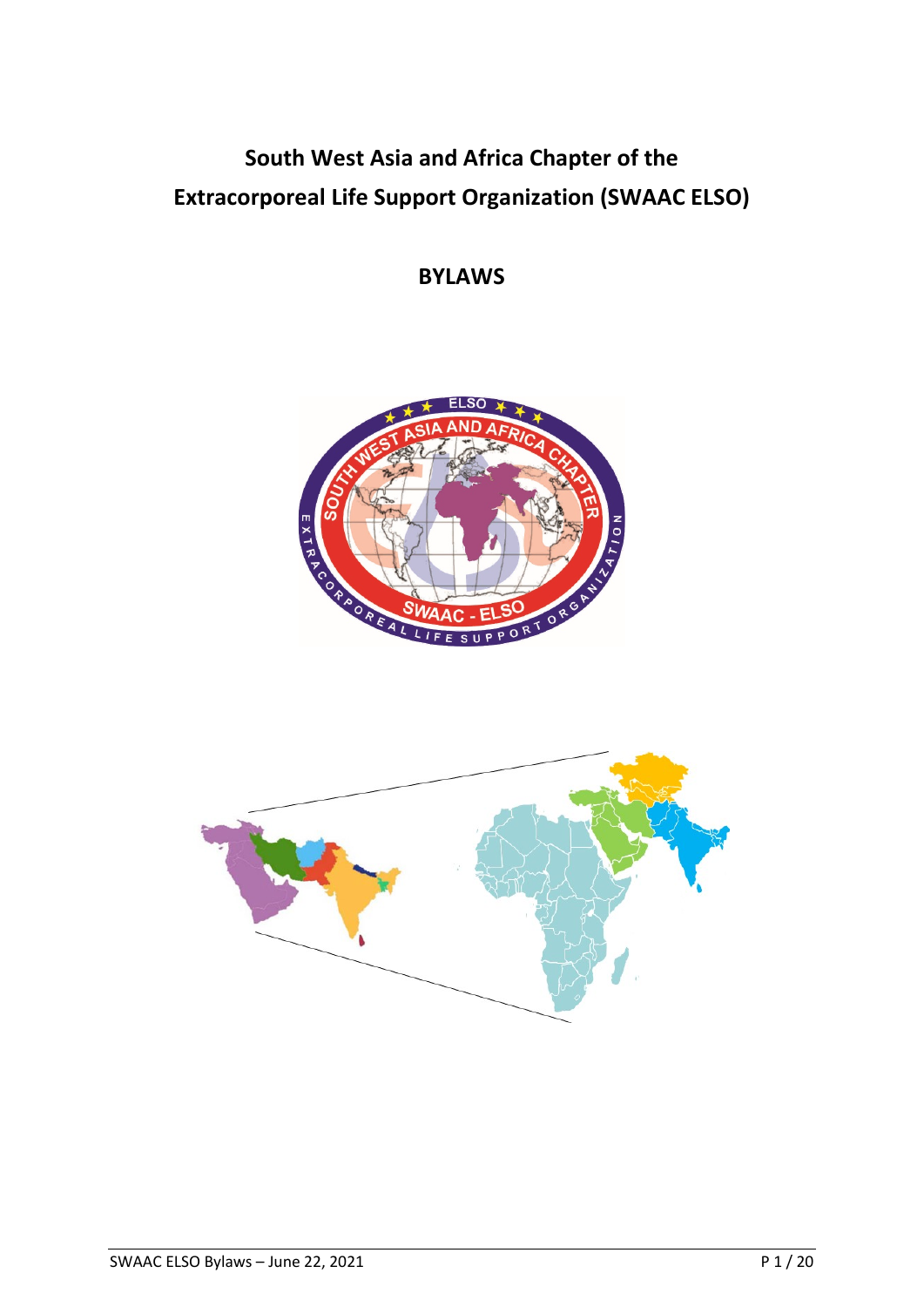# **South West Asia and Africa Chapter of the Extracorporeal Life Support Organization (SWAAC ELSO)**

**BYLAWS**



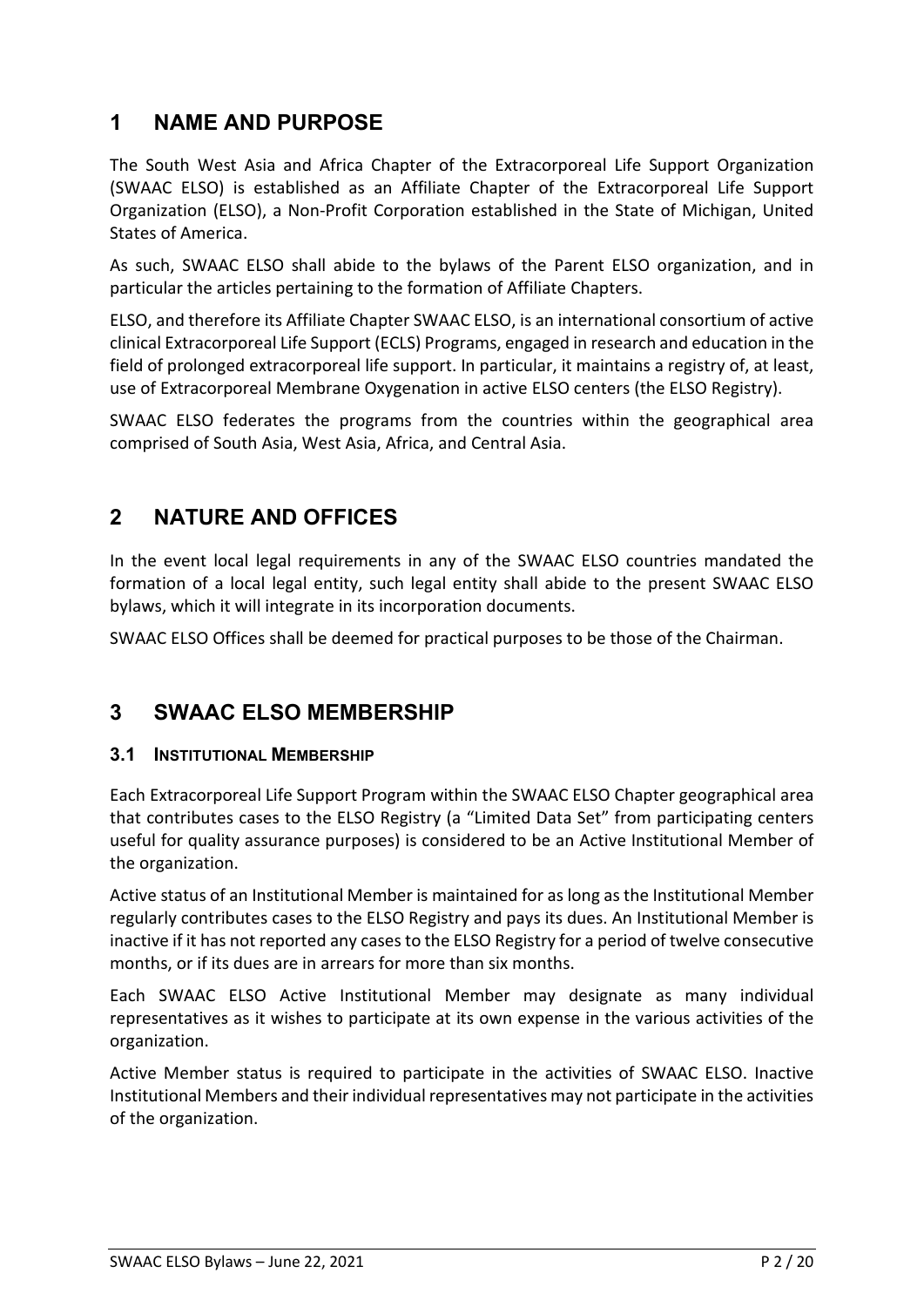# **1 NAME AND PURPOSE**

The South West Asia and Africa Chapter of the Extracorporeal Life Support Organization (SWAAC ELSO) is established as an Affiliate Chapter of the Extracorporeal Life Support Organization (ELSO), a Non-Profit Corporation established in the State of Michigan, United States of America.

As such, SWAAC ELSO shall abide to the bylaws of the Parent ELSO organization, and in particular the articles pertaining to the formation of Affiliate Chapters.

ELSO, and therefore its Affiliate Chapter SWAAC ELSO, is an international consortium of active clinical Extracorporeal Life Support (ECLS) Programs, engaged in research and education in the field of prolonged extracorporeal life support. In particular, it maintains a registry of, at least, use of Extracorporeal Membrane Oxygenation in active ELSO centers (the ELSO Registry).

SWAAC ELSO federates the programs from the countries within the geographical area comprised of South Asia, West Asia, Africa, and Central Asia.

# **2 NATURE AND OFFICES**

In the event local legal requirements in any of the SWAAC ELSO countries mandated the formation of a local legal entity, such legal entity shall abide to the present SWAAC ELSO bylaws, which it will integrate in its incorporation documents.

SWAAC ELSO Offices shall be deemed for practical purposes to be those of the Chairman.

# **3 SWAAC ELSO MEMBERSHIP**

### **3.1 INSTITUTIONAL MEMBERSHIP**

Each Extracorporeal Life Support Program within the SWAAC ELSO Chapter geographical area that contributes cases to the ELSO Registry (a "Limited Data Set" from participating centers useful for quality assurance purposes) is considered to be an Active Institutional Member of the organization.

Active status of an Institutional Member is maintained for as long as the Institutional Member regularly contributes cases to the ELSO Registry and pays its dues. An Institutional Member is inactive if it has not reported any cases to the ELSO Registry for a period of twelve consecutive months, or if its dues are in arrears for more than six months.

Each SWAAC ELSO Active Institutional Member may designate as many individual representatives as it wishes to participate at its own expense in the various activities of the organization.

Active Member status is required to participate in the activities of SWAAC ELSO. Inactive Institutional Members and their individual representatives may not participate in the activities of the organization.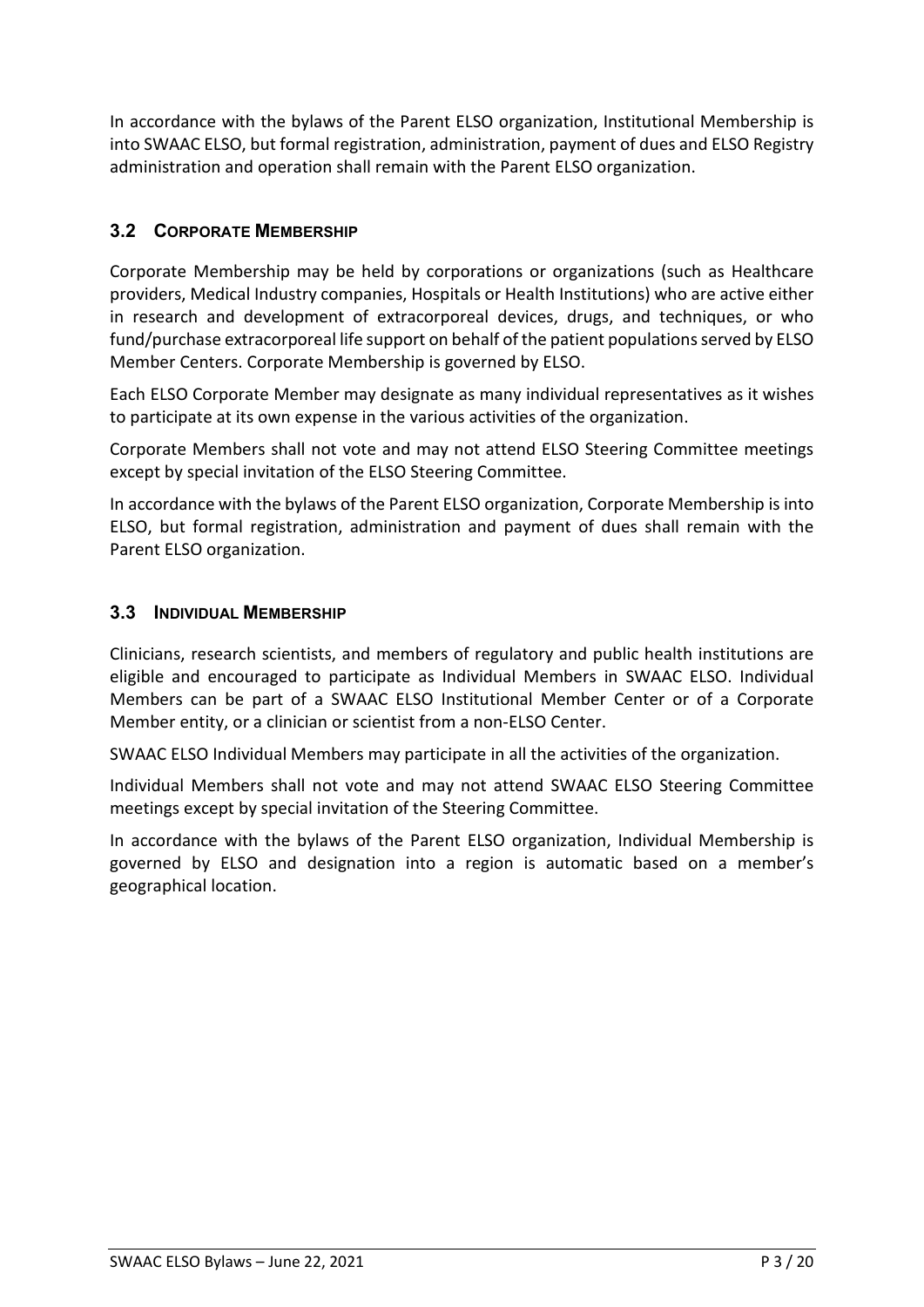In accordance with the bylaws of the Parent ELSO organization, Institutional Membership is into SWAAC ELSO, but formal registration, administration, payment of dues and ELSO Registry administration and operation shall remain with the Parent ELSO organization.

## **3.2 CORPORATE MEMBERSHIP**

Corporate Membership may be held by corporations or organizations (such as Healthcare providers, Medical Industry companies, Hospitals or Health Institutions) who are active either in research and development of extracorporeal devices, drugs, and techniques, or who fund/purchase extracorporeal life support on behalf of the patient populations served by ELSO Member Centers. Corporate Membership is governed by ELSO.

Each ELSO Corporate Member may designate as many individual representatives as it wishes to participate at its own expense in the various activities of the organization.

Corporate Members shall not vote and may not attend ELSO Steering Committee meetings except by special invitation of the ELSO Steering Committee.

In accordance with the bylaws of the Parent ELSO organization, Corporate Membership is into ELSO, but formal registration, administration and payment of dues shall remain with the Parent ELSO organization.

### **3.3 INDIVIDUAL MEMBERSHIP**

Clinicians, research scientists, and members of regulatory and public health institutions are eligible and encouraged to participate as Individual Members in SWAAC ELSO. Individual Members can be part of a SWAAC ELSO Institutional Member Center or of a Corporate Member entity, or a clinician or scientist from a non-ELSO Center.

SWAAC ELSO Individual Members may participate in all the activities of the organization.

Individual Members shall not vote and may not attend SWAAC ELSO Steering Committee meetings except by special invitation of the Steering Committee.

In accordance with the bylaws of the Parent ELSO organization, Individual Membership is governed by ELSO and designation into a region is automatic based on a member's geographical location.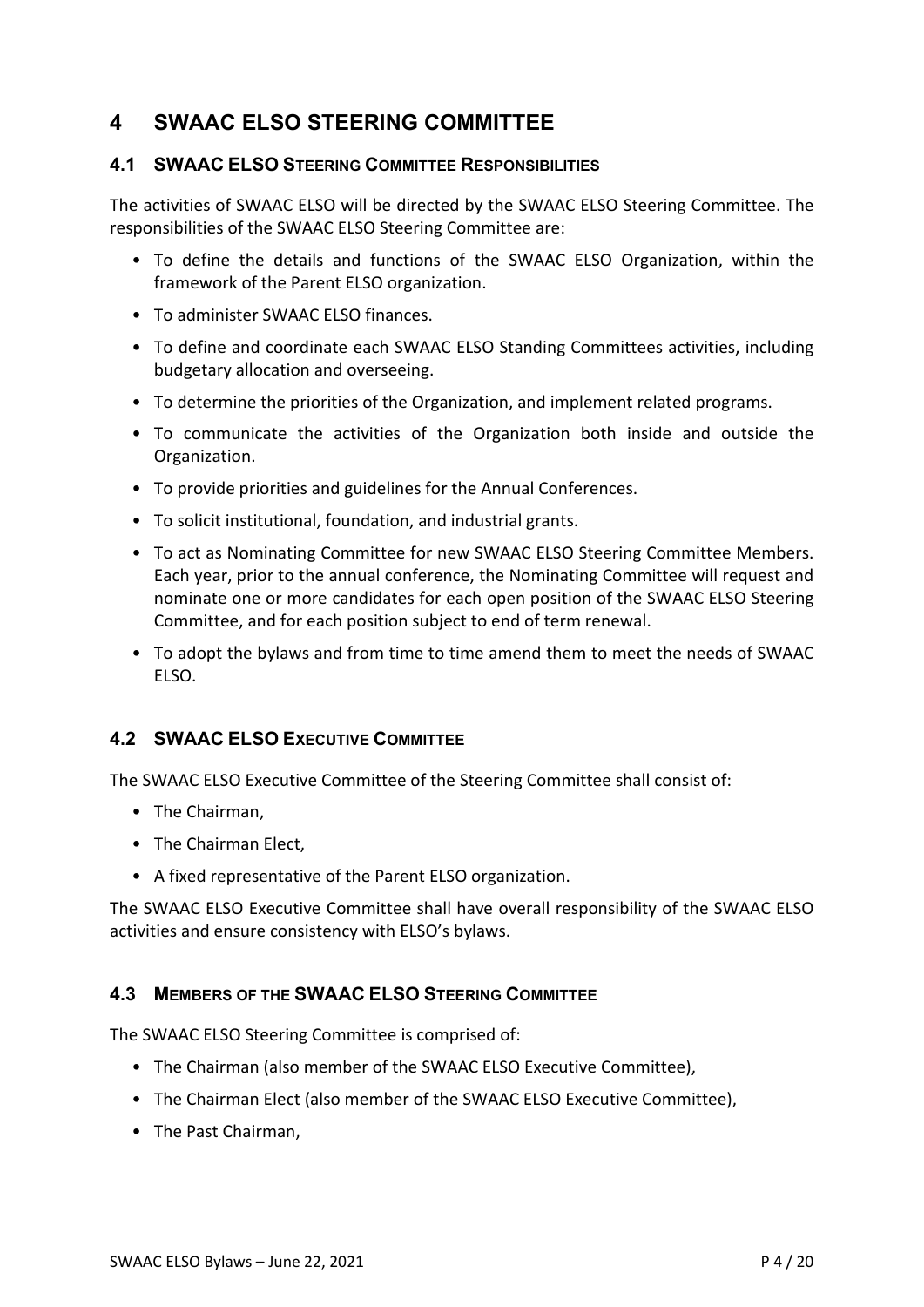# **4 SWAAC ELSO STEERING COMMITTEE**

#### **4.1 SWAAC ELSO STEERING COMMITTEE RESPONSIBILITIES**

The activities of SWAAC ELSO will be directed by the SWAAC ELSO Steering Committee. The responsibilities of the SWAAC ELSO Steering Committee are:

- To define the details and functions of the SWAAC ELSO Organization, within the framework of the Parent ELSO organization.
- To administer SWAAC ELSO finances.
- To define and coordinate each SWAAC ELSO Standing Committees activities, including budgetary allocation and overseeing.
- To determine the priorities of the Organization, and implement related programs.
- To communicate the activities of the Organization both inside and outside the Organization.
- To provide priorities and guidelines for the Annual Conferences.
- To solicit institutional, foundation, and industrial grants.
- To act as Nominating Committee for new SWAAC ELSO Steering Committee Members. Each year, prior to the annual conference, the Nominating Committee will request and nominate one or more candidates for each open position of the SWAAC ELSO Steering Committee, and for each position subject to end of term renewal.
- To adopt the bylaws and from time to time amend them to meet the needs of SWAAC ELSO.

### **4.2 SWAAC ELSO EXECUTIVE COMMITTEE**

The SWAAC ELSO Executive Committee of the Steering Committee shall consist of:

- The Chairman,
- The Chairman Elect,
- A fixed representative of the Parent ELSO organization.

The SWAAC ELSO Executive Committee shall have overall responsibility of the SWAAC ELSO activities and ensure consistency with ELSO's bylaws.

### **4.3 MEMBERS OF THE SWAAC ELSO STEERING COMMITTEE**

The SWAAC ELSO Steering Committee is comprised of:

- The Chairman (also member of the SWAAC ELSO Executive Committee),
- The Chairman Elect (also member of the SWAAC ELSO Executive Committee),
- The Past Chairman,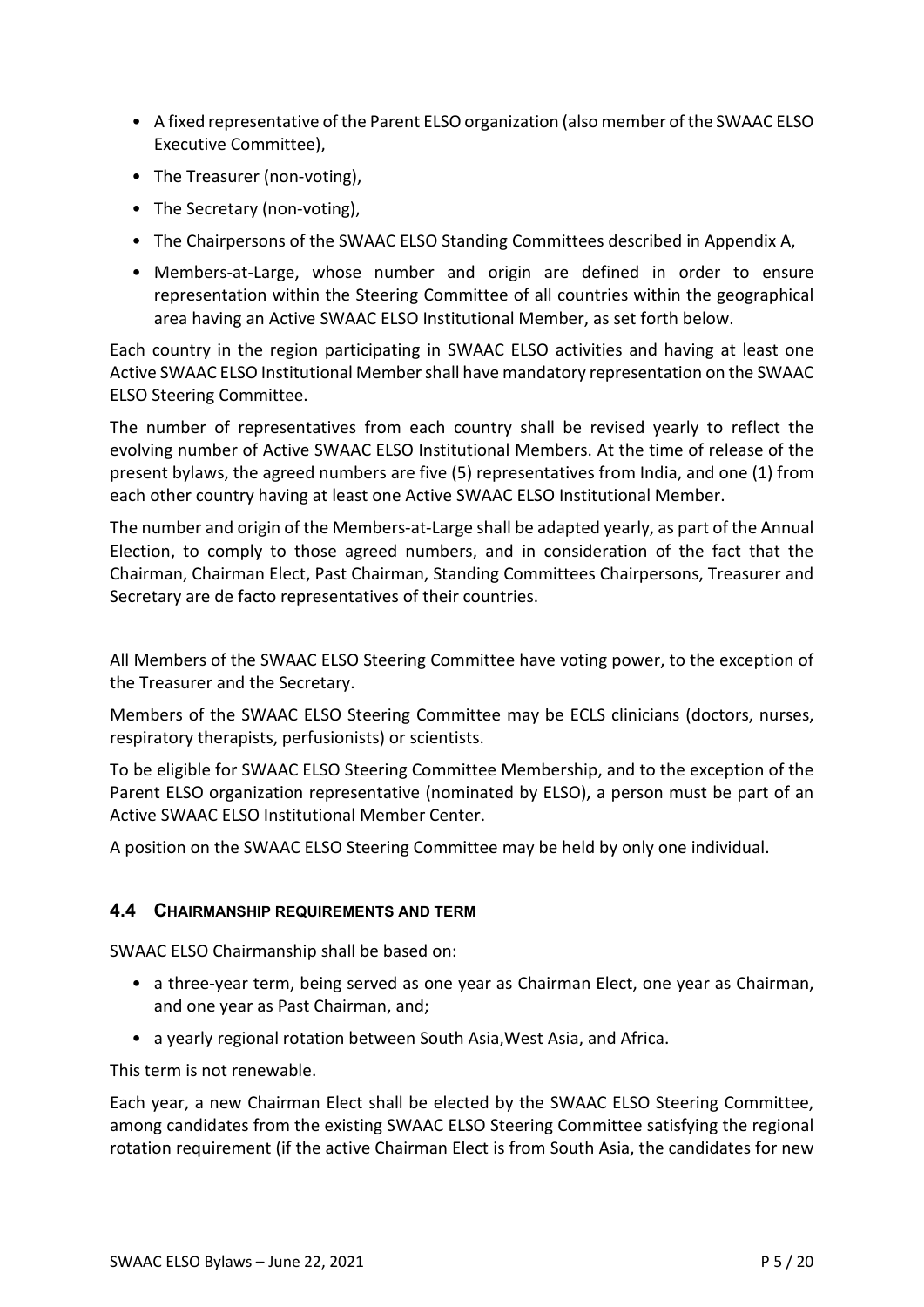- A fixed representative of the Parent ELSO organization (also member of the SWAAC ELSO Executive Committee),
- The Treasurer (non-voting),
- The Secretary (non-voting),
- The Chairpersons of the SWAAC ELSO Standing Committees described in Appendix A,
- Members-at-Large, whose number and origin are defined in order to ensure representation within the Steering Committee of all countries within the geographical area having an Active SWAAC ELSO Institutional Member, as set forth below.

Each country in the region participating in SWAAC ELSO activities and having at least one Active SWAAC ELSO Institutional Member shall have mandatory representation on the SWAAC ELSO Steering Committee.

The number of representatives from each country shall be revised yearly to reflect the evolving number of Active SWAAC ELSO Institutional Members. At the time of release of the present bylaws, the agreed numbers are five (5) representatives from India, and one (1) from each other country having at least one Active SWAAC ELSO Institutional Member.

The number and origin of the Members-at-Large shall be adapted yearly, as part of the Annual Election, to comply to those agreed numbers, and in consideration of the fact that the Chairman, Chairman Elect, Past Chairman, Standing Committees Chairpersons, Treasurer and Secretary are de facto representatives of their countries.

All Members of the SWAAC ELSO Steering Committee have voting power, to the exception of the Treasurer and the Secretary.

Members of the SWAAC ELSO Steering Committee may be ECLS clinicians (doctors, nurses, respiratory therapists, perfusionists) or scientists.

To be eligible for SWAAC ELSO Steering Committee Membership, and to the exception of the Parent ELSO organization representative (nominated by ELSO), a person must be part of an Active SWAAC ELSO Institutional Member Center.

A position on the SWAAC ELSO Steering Committee may be held by only one individual.

#### **4.4 CHAIRMANSHIP REQUIREMENTS AND TERM**

SWAAC ELSO Chairmanship shall be based on:

- a three-year term, being served as one year as Chairman Elect, one year as Chairman, and one year as Past Chairman, and;
- a yearly regional rotation between South Asia,West Asia, and Africa.

This term is not renewable.

Each year, a new Chairman Elect shall be elected by the SWAAC ELSO Steering Committee, among candidates from the existing SWAAC ELSO Steering Committee satisfying the regional rotation requirement (if the active Chairman Elect is from South Asia, the candidates for new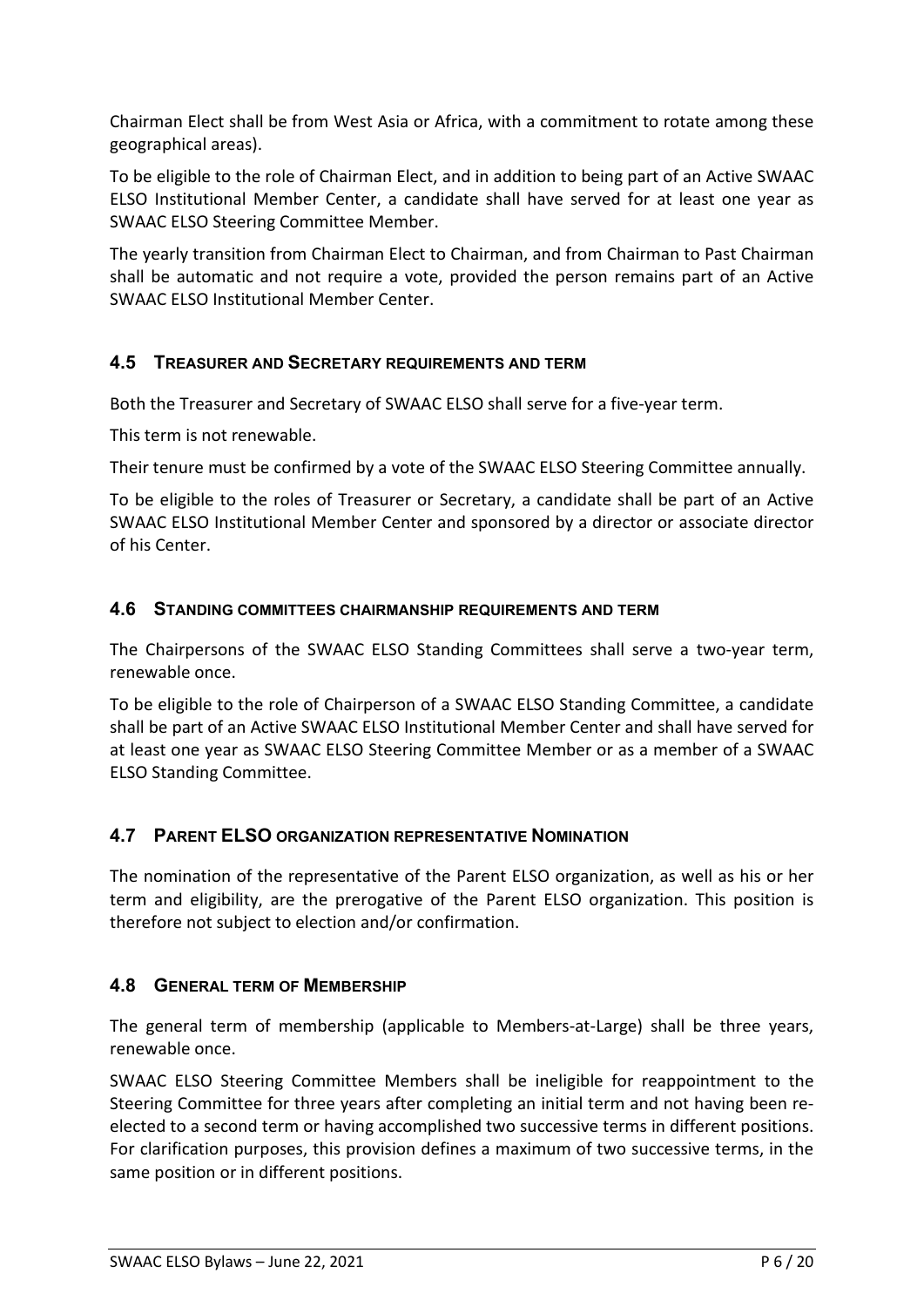Chairman Elect shall be from West Asia or Africa, with a commitment to rotate among these geographical areas).

To be eligible to the role of Chairman Elect, and in addition to being part of an Active SWAAC ELSO Institutional Member Center, a candidate shall have served for at least one year as SWAAC ELSO Steering Committee Member.

The yearly transition from Chairman Elect to Chairman, and from Chairman to Past Chairman shall be automatic and not require a vote, provided the person remains part of an Active SWAAC ELSO Institutional Member Center.

### **4.5 TREASURER AND SECRETARY REQUIREMENTS AND TERM**

Both the Treasurer and Secretary of SWAAC ELSO shall serve for a five-year term.

This term is not renewable.

Their tenure must be confirmed by a vote of the SWAAC ELSO Steering Committee annually.

To be eligible to the roles of Treasurer or Secretary, a candidate shall be part of an Active SWAAC ELSO Institutional Member Center and sponsored by a director or associate director of his Center.

#### **4.6 STANDING COMMITTEES CHAIRMANSHIP REQUIREMENTS AND TERM**

The Chairpersons of the SWAAC ELSO Standing Committees shall serve a two-year term, renewable once.

To be eligible to the role of Chairperson of a SWAAC ELSO Standing Committee, a candidate shall be part of an Active SWAAC ELSO Institutional Member Center and shall have served for at least one year as SWAAC ELSO Steering Committee Member or as a member of a SWAAC ELSO Standing Committee.

### **4.7 PARENT ELSO ORGANIZATION REPRESENTATIVE NOMINATION**

The nomination of the representative of the Parent ELSO organization, as well as his or her term and eligibility, are the prerogative of the Parent ELSO organization. This position is therefore not subject to election and/or confirmation.

### **4.8 GENERAL TERM OF MEMBERSHIP**

The general term of membership (applicable to Members-at-Large) shall be three years, renewable once.

SWAAC ELSO Steering Committee Members shall be ineligible for reappointment to the Steering Committee for three years after completing an initial term and not having been reelected to a second term or having accomplished two successive terms in different positions. For clarification purposes, this provision defines a maximum of two successive terms, in the same position or in different positions.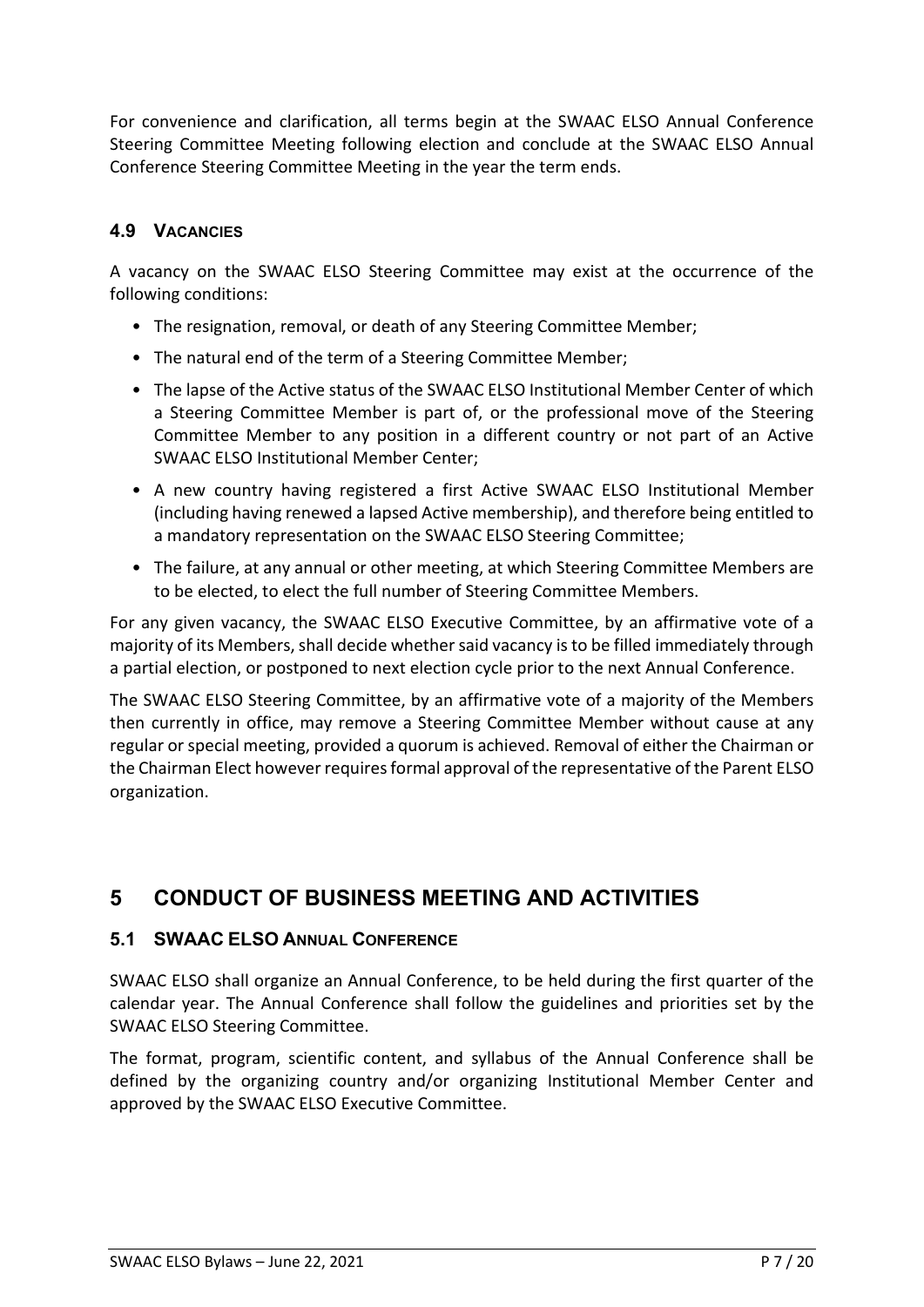For convenience and clarification, all terms begin at the SWAAC ELSO Annual Conference Steering Committee Meeting following election and conclude at the SWAAC ELSO Annual Conference Steering Committee Meeting in the year the term ends.

### **4.9 VACANCIES**

A vacancy on the SWAAC ELSO Steering Committee may exist at the occurrence of the following conditions:

- The resignation, removal, or death of any Steering Committee Member;
- The natural end of the term of a Steering Committee Member;
- The lapse of the Active status of the SWAAC ELSO Institutional Member Center of which a Steering Committee Member is part of, or the professional move of the Steering Committee Member to any position in a different country or not part of an Active SWAAC ELSO Institutional Member Center;
- A new country having registered a first Active SWAAC ELSO Institutional Member (including having renewed a lapsed Active membership), and therefore being entitled to a mandatory representation on the SWAAC ELSO Steering Committee;
- The failure, at any annual or other meeting, at which Steering Committee Members are to be elected, to elect the full number of Steering Committee Members.

For any given vacancy, the SWAAC ELSO Executive Committee, by an affirmative vote of a majority of its Members, shall decide whether said vacancy is to be filled immediately through a partial election, or postponed to next election cycle prior to the next Annual Conference.

The SWAAC ELSO Steering Committee, by an affirmative vote of a majority of the Members then currently in office, may remove a Steering Committee Member without cause at any regular or special meeting, provided a quorum is achieved. Removal of either the Chairman or the Chairman Elect however requires formal approval of the representative of the Parent ELSO organization.

# **5 CONDUCT OF BUSINESS MEETING AND ACTIVITIES**

### **5.1 SWAAC ELSO ANNUAL CONFERENCE**

SWAAC ELSO shall organize an Annual Conference, to be held during the first quarter of the calendar year. The Annual Conference shall follow the guidelines and priorities set by the SWAAC ELSO Steering Committee.

The format, program, scientific content, and syllabus of the Annual Conference shall be defined by the organizing country and/or organizing Institutional Member Center and approved by the SWAAC ELSO Executive Committee.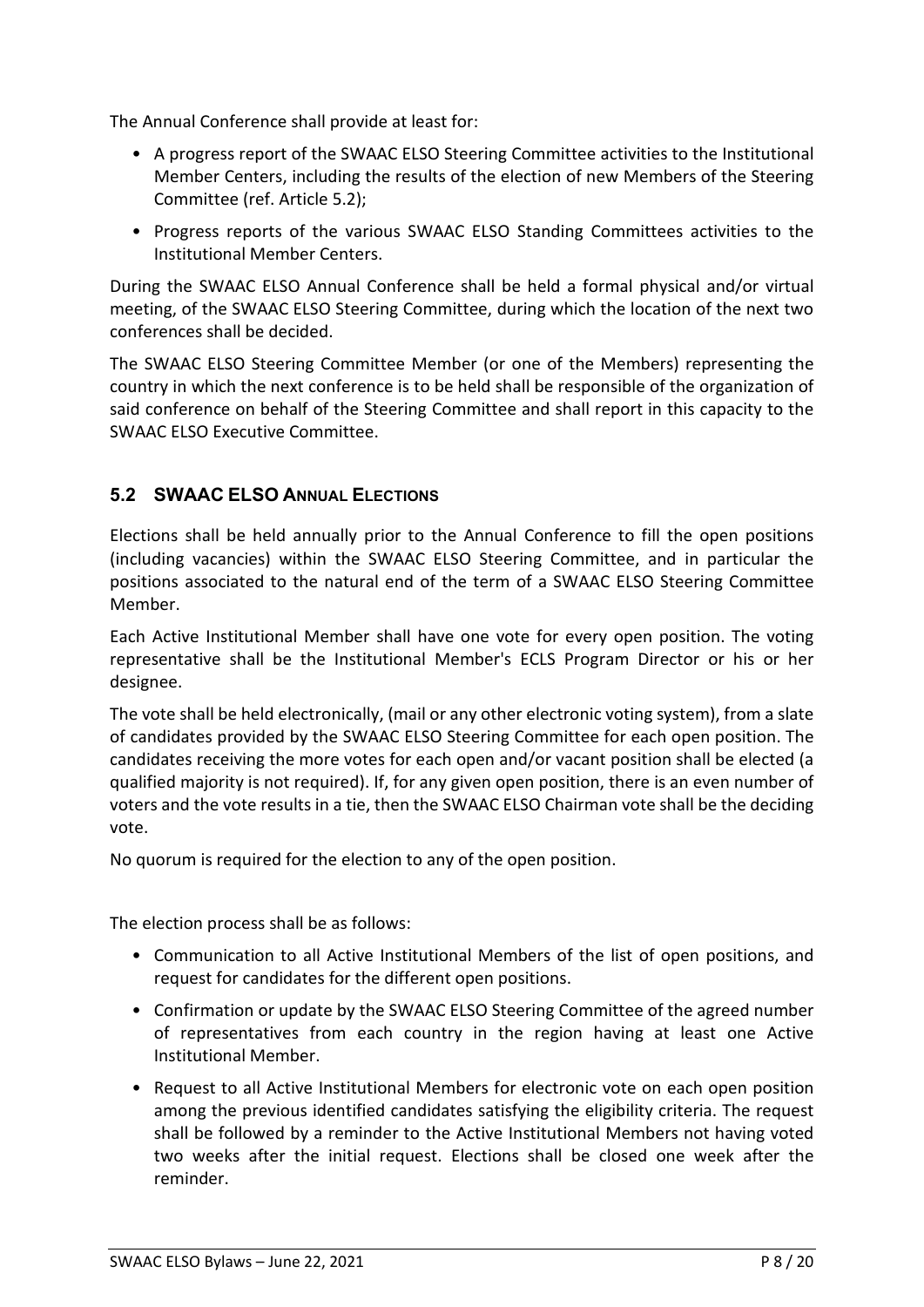The Annual Conference shall provide at least for:

- A progress report of the SWAAC ELSO Steering Committee activities to the Institutional Member Centers, including the results of the election of new Members of the Steering Committee (ref. Article [5.2\)](#page-7-0);
- Progress reports of the various SWAAC ELSO Standing Committees activities to the Institutional Member Centers.

During the SWAAC ELSO Annual Conference shall be held a formal physical and/or virtual meeting, of the SWAAC ELSO Steering Committee, during which the location of the next two conferences shall be decided.

The SWAAC ELSO Steering Committee Member (or one of the Members) representing the country in which the next conference is to be held shall be responsible of the organization of said conference on behalf of the Steering Committee and shall report in this capacity to the SWAAC ELSO Executive Committee.

### <span id="page-7-0"></span>**5.2 SWAAC ELSO ANNUAL ELECTIONS**

Elections shall be held annually prior to the Annual Conference to fill the open positions (including vacancies) within the SWAAC ELSO Steering Committee, and in particular the positions associated to the natural end of the term of a SWAAC ELSO Steering Committee Member.

Each Active Institutional Member shall have one vote for every open position. The voting representative shall be the Institutional Member's ECLS Program Director or his or her designee.

The vote shall be held electronically, (mail or any other electronic voting system), from a slate of candidates provided by the SWAAC ELSO Steering Committee for each open position. The candidates receiving the more votes for each open and/or vacant position shall be elected (a qualified majority is not required). If, for any given open position, there is an even number of voters and the vote results in a tie, then the SWAAC ELSO Chairman vote shall be the deciding vote.

No quorum is required for the election to any of the open position.

The election process shall be as follows:

- Communication to all Active Institutional Members of the list of open positions, and request for candidates for the different open positions.
- Confirmation or update by the SWAAC ELSO Steering Committee of the agreed number of representatives from each country in the region having at least one Active Institutional Member.
- Request to all Active Institutional Members for electronic vote on each open position among the previous identified candidates satisfying the eligibility criteria. The request shall be followed by a reminder to the Active Institutional Members not having voted two weeks after the initial request. Elections shall be closed one week after the reminder.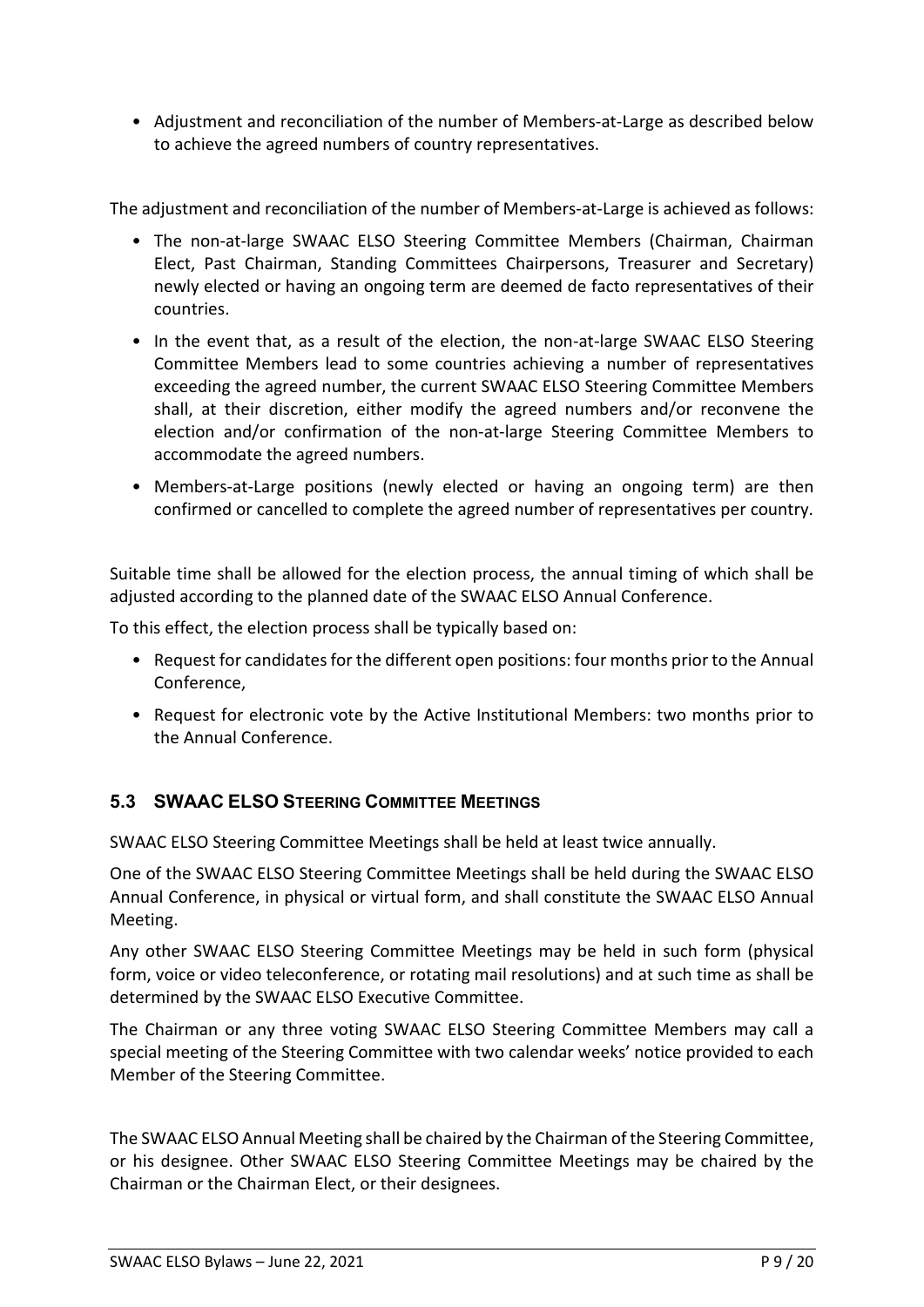• Adjustment and reconciliation of the number of Members-at-Large as described below to achieve the agreed numbers of country representatives.

The adjustment and reconciliation of the number of Members-at-Large is achieved as follows:

- The non-at-large SWAAC ELSO Steering Committee Members (Chairman, Chairman Elect, Past Chairman, Standing Committees Chairpersons, Treasurer and Secretary) newly elected or having an ongoing term are deemed de facto representatives of their countries.
- In the event that, as a result of the election, the non-at-large SWAAC ELSO Steering Committee Members lead to some countries achieving a number of representatives exceeding the agreed number, the current SWAAC ELSO Steering Committee Members shall, at their discretion, either modify the agreed numbers and/or reconvene the election and/or confirmation of the non-at-large Steering Committee Members to accommodate the agreed numbers.
- Members-at-Large positions (newly elected or having an ongoing term) are then confirmed or cancelled to complete the agreed number of representatives per country.

Suitable time shall be allowed for the election process, the annual timing of which shall be adjusted according to the planned date of the SWAAC ELSO Annual Conference.

To this effect, the election process shall be typically based on:

- Request for candidates for the different open positions: four months prior to the Annual Conference,
- Request for electronic vote by the Active Institutional Members: two months prior to the Annual Conference.

### **5.3 SWAAC ELSO STEERING COMMITTEE MEETINGS**

SWAAC ELSO Steering Committee Meetings shall be held at least twice annually.

One of the SWAAC ELSO Steering Committee Meetings shall be held during the SWAAC ELSO Annual Conference, in physical or virtual form, and shall constitute the SWAAC ELSO Annual Meeting.

Any other SWAAC ELSO Steering Committee Meetings may be held in such form (physical form, voice or video teleconference, or rotating mail resolutions) and at such time as shall be determined by the SWAAC ELSO Executive Committee.

The Chairman or any three voting SWAAC ELSO Steering Committee Members may call a special meeting of the Steering Committee with two calendar weeks' notice provided to each Member of the Steering Committee.

The SWAAC ELSO Annual Meeting shall be chaired by the Chairman of the Steering Committee, or his designee. Other SWAAC ELSO Steering Committee Meetings may be chaired by the Chairman or the Chairman Elect, or their designees.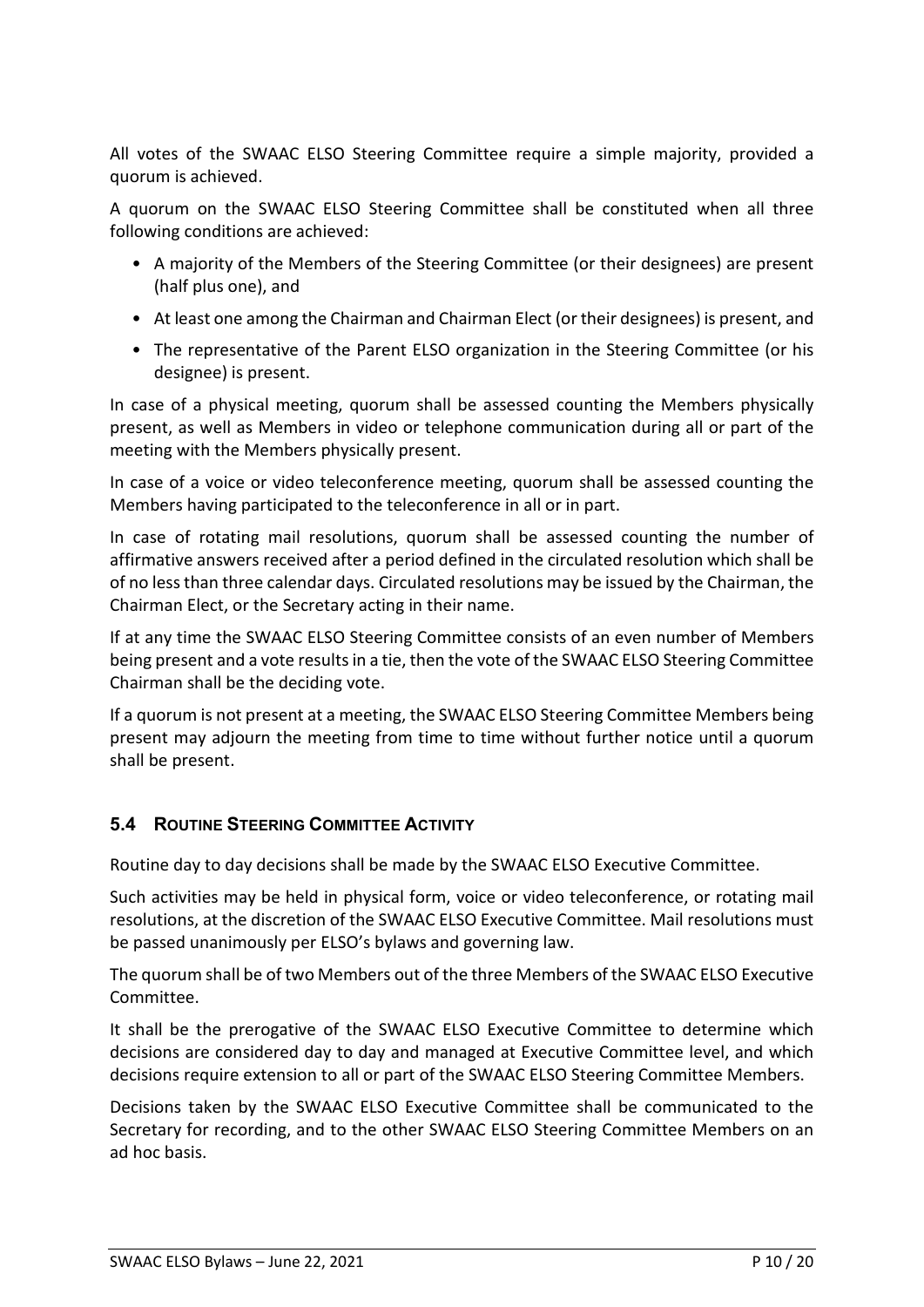All votes of the SWAAC ELSO Steering Committee require a simple majority, provided a quorum is achieved.

A quorum on the SWAAC ELSO Steering Committee shall be constituted when all three following conditions are achieved:

- A majority of the Members of the Steering Committee (or their designees) are present (half plus one), and
- At least one among the Chairman and Chairman Elect (or their designees) is present, and
- The representative of the Parent ELSO organization in the Steering Committee (or his designee) is present.

In case of a physical meeting, quorum shall be assessed counting the Members physically present, as well as Members in video or telephone communication during all or part of the meeting with the Members physically present.

In case of a voice or video teleconference meeting, quorum shall be assessed counting the Members having participated to the teleconference in all or in part.

In case of rotating mail resolutions, quorum shall be assessed counting the number of affirmative answers received after a period defined in the circulated resolution which shall be of no less than three calendar days. Circulated resolutions may be issued by the Chairman, the Chairman Elect, or the Secretary acting in their name.

If at any time the SWAAC ELSO Steering Committee consists of an even number of Members being present and a vote results in a tie, then the vote of the SWAAC ELSO Steering Committee Chairman shall be the deciding vote.

If a quorum is not present at a meeting, the SWAAC ELSO Steering Committee Members being present may adjourn the meeting from time to time without further notice until a quorum shall be present.

#### **5.4 ROUTINE STEERING COMMITTEE ACTIVITY**

Routine day to day decisions shall be made by the SWAAC ELSO Executive Committee.

Such activities may be held in physical form, voice or video teleconference, or rotating mail resolutions, at the discretion of the SWAAC ELSO Executive Committee. Mail resolutions must be passed unanimously per ELSO's bylaws and governing law.

The quorum shall be of two Members out of the three Members of the SWAAC ELSO Executive Committee.

It shall be the prerogative of the SWAAC ELSO Executive Committee to determine which decisions are considered day to day and managed at Executive Committee level, and which decisions require extension to all or part of the SWAAC ELSO Steering Committee Members.

Decisions taken by the SWAAC ELSO Executive Committee shall be communicated to the Secretary for recording, and to the other SWAAC ELSO Steering Committee Members on an ad hoc basis.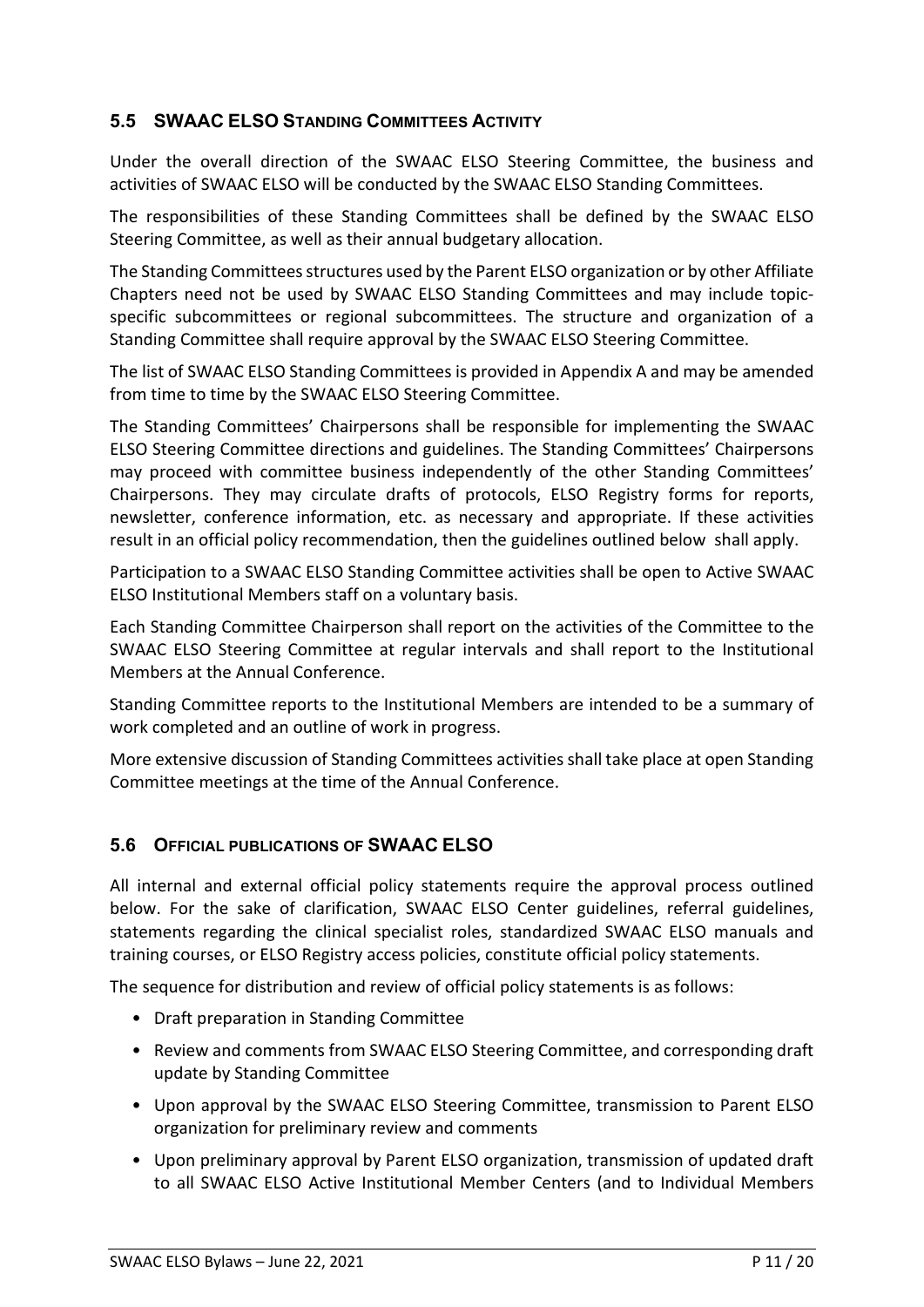### **5.5 SWAAC ELSO STANDING COMMITTEES ACTIVITY**

Under the overall direction of the SWAAC ELSO Steering Committee, the business and activities of SWAAC ELSO will be conducted by the SWAAC ELSO Standing Committees.

The responsibilities of these Standing Committees shall be defined by the SWAAC ELSO Steering Committee, as well as their annual budgetary allocation.

The Standing Committees structures used by the Parent ELSO organization or by other Affiliate Chapters need not be used by SWAAC ELSO Standing Committees and may include topicspecific subcommittees or regional subcommittees. The structure and organization of a Standing Committee shall require approval by the SWAAC ELSO Steering Committee.

The list of SWAAC ELSO Standing Committees is provided in Appendix A and may be amended from time to time by the SWAAC ELSO Steering Committee.

The Standing Committees' Chairpersons shall be responsible for implementing the SWAAC ELSO Steering Committee directions and guidelines. The Standing Committees' Chairpersons may proceed with committee business independently of the other Standing Committees' Chairpersons. They may circulate drafts of protocols, ELSO Registry forms for reports, newsletter, conference information, etc. as necessary and appropriate. If these activities result in an official policy recommendation, then the guidelines outlined below shall apply.

Participation to a SWAAC ELSO Standing Committee activities shall be open to Active SWAAC ELSO Institutional Members staff on a voluntary basis.

Each Standing Committee Chairperson shall report on the activities of the Committee to the SWAAC ELSO Steering Committee at regular intervals and shall report to the Institutional Members at the Annual Conference.

Standing Committee reports to the Institutional Members are intended to be a summary of work completed and an outline of work in progress.

More extensive discussion of Standing Committees activities shall take place at open Standing Committee meetings at the time of the Annual Conference.

### **5.6 OFFICIAL PUBLICATIONS OF SWAAC ELSO**

All internal and external official policy statements require the approval process outlined below. For the sake of clarification, SWAAC ELSO Center guidelines, referral guidelines, statements regarding the clinical specialist roles, standardized SWAAC ELSO manuals and training courses, or ELSO Registry access policies, constitute official policy statements.

The sequence for distribution and review of official policy statements is as follows:

- Draft preparation in Standing Committee
- Review and comments from SWAAC ELSO Steering Committee, and corresponding draft update by Standing Committee
- Upon approval by the SWAAC ELSO Steering Committee, transmission to Parent ELSO organization for preliminary review and comments
- Upon preliminary approval by Parent ELSO organization, transmission of updated draft to all SWAAC ELSO Active Institutional Member Centers (and to Individual Members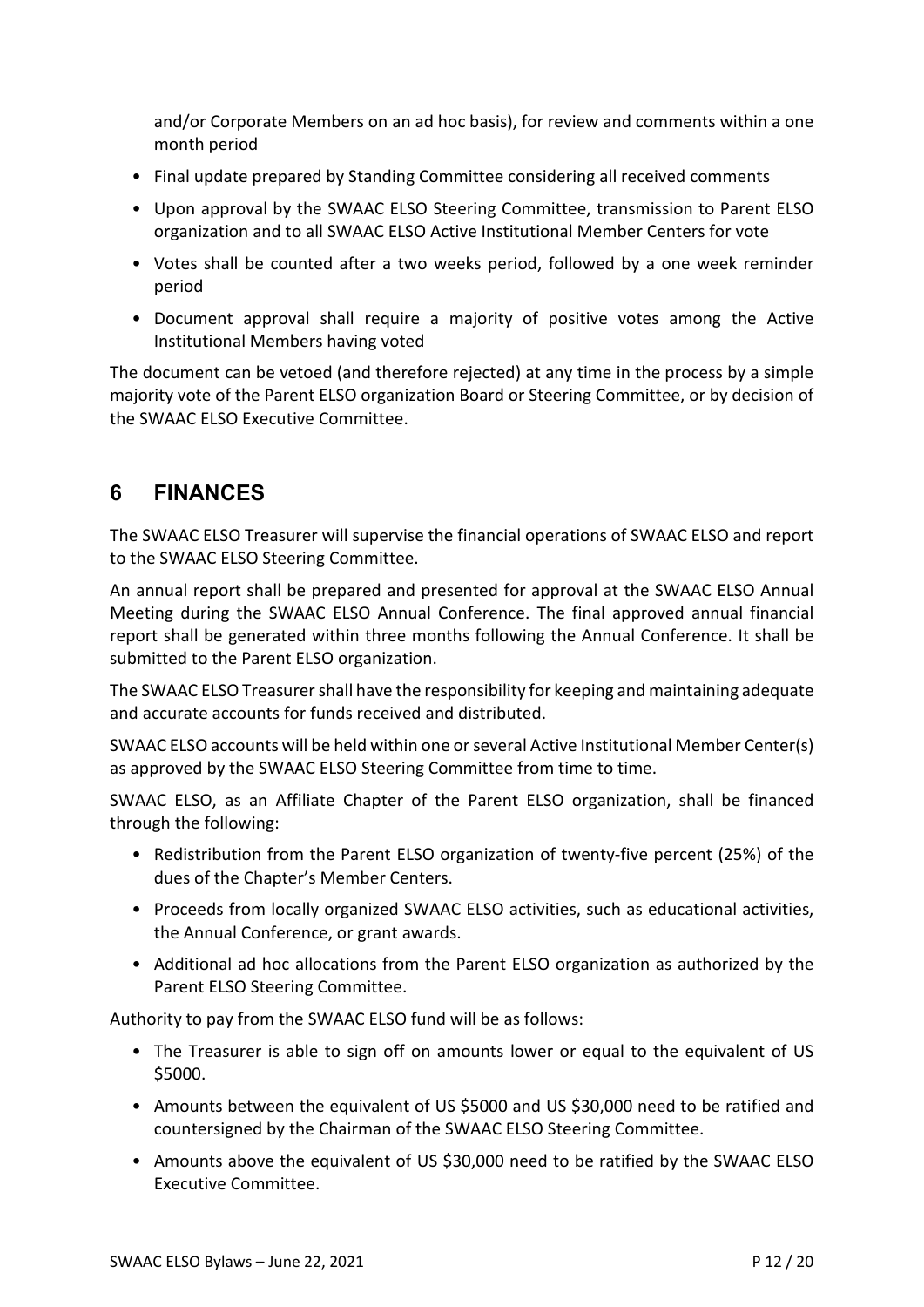and/or Corporate Members on an ad hoc basis), for review and comments within a one month period

- Final update prepared by Standing Committee considering all received comments
- Upon approval by the SWAAC ELSO Steering Committee, transmission to Parent ELSO organization and to all SWAAC ELSO Active Institutional Member Centers for vote
- Votes shall be counted after a two weeks period, followed by a one week reminder period
- Document approval shall require a majority of positive votes among the Active Institutional Members having voted

The document can be vetoed (and therefore rejected) at any time in the process by a simple majority vote of the Parent ELSO organization Board or Steering Committee, or by decision of the SWAAC ELSO Executive Committee.

# **6 FINANCES**

The SWAAC ELSO Treasurer will supervise the financial operations of SWAAC ELSO and report to the SWAAC ELSO Steering Committee.

An annual report shall be prepared and presented for approval at the SWAAC ELSO Annual Meeting during the SWAAC ELSO Annual Conference. The final approved annual financial report shall be generated within three months following the Annual Conference. It shall be submitted to the Parent ELSO organization.

The SWAAC ELSO Treasurer shall have the responsibility for keeping and maintaining adequate and accurate accounts for funds received and distributed.

SWAAC ELSO accounts will be held within one or several Active Institutional Member Center(s) as approved by the SWAAC ELSO Steering Committee from time to time.

SWAAC ELSO, as an Affiliate Chapter of the Parent ELSO organization, shall be financed through the following:

- Redistribution from the Parent ELSO organization of twenty-five percent (25%) of the dues of the Chapter's Member Centers.
- Proceeds from locally organized SWAAC ELSO activities, such as educational activities, the Annual Conference, or grant awards.
- Additional ad hoc allocations from the Parent ELSO organization as authorized by the Parent ELSO Steering Committee.

Authority to pay from the SWAAC ELSO fund will be as follows:

- The Treasurer is able to sign off on amounts lower or equal to the equivalent of US \$5000.
- Amounts between the equivalent of US \$5000 and US \$30,000 need to be ratified and countersigned by the Chairman of the SWAAC ELSO Steering Committee.
- Amounts above the equivalent of US \$30,000 need to be ratified by the SWAAC ELSO Executive Committee.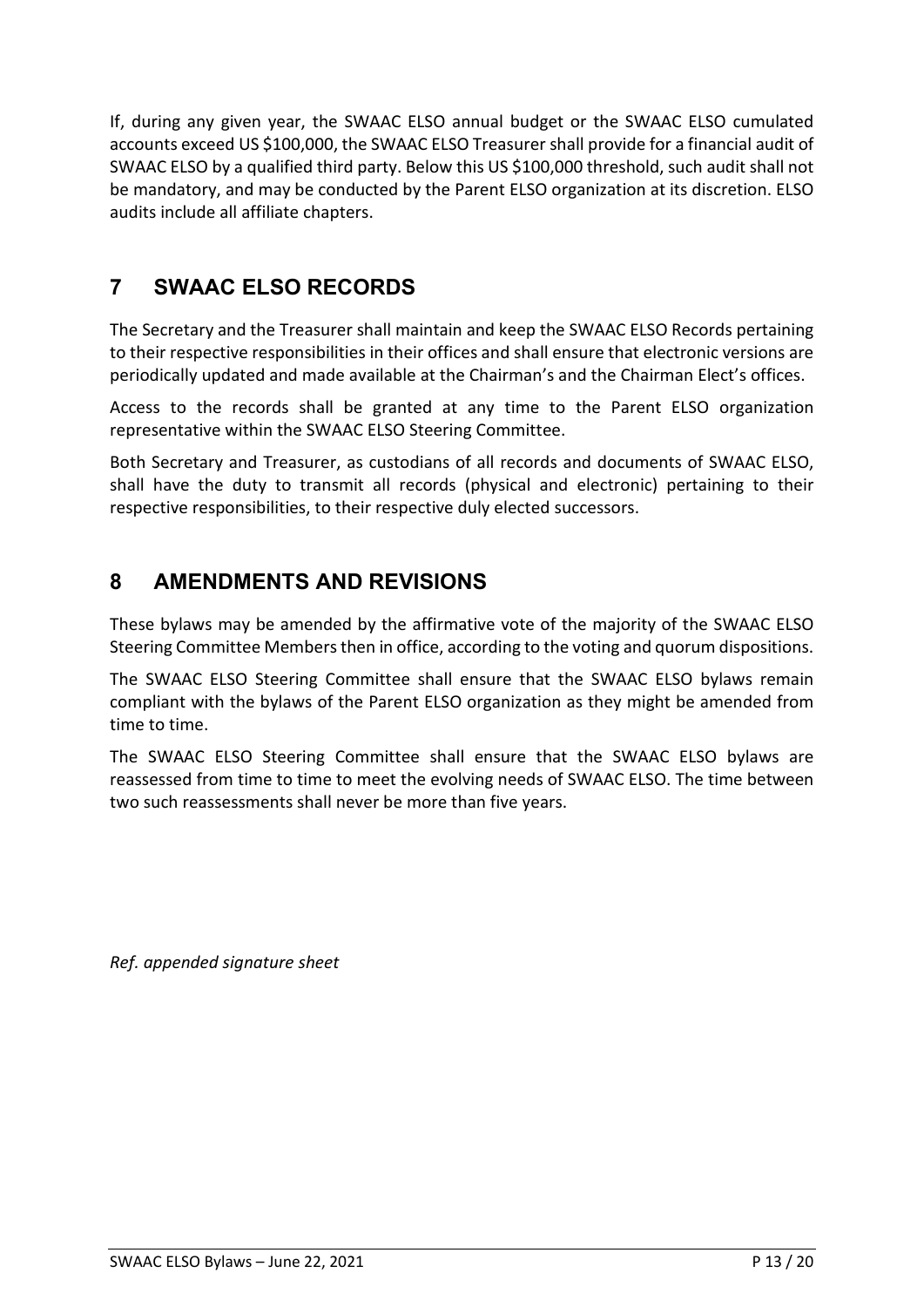If, during any given year, the SWAAC ELSO annual budget or the SWAAC ELSO cumulated accounts exceed US \$100,000, the SWAAC ELSO Treasurer shall provide for a financial audit of SWAAC ELSO by a qualified third party. Below this US \$100,000 threshold, such audit shall not be mandatory, and may be conducted by the Parent ELSO organization at its discretion. ELSO audits include all affiliate chapters.

# **7 SWAAC ELSO RECORDS**

The Secretary and the Treasurer shall maintain and keep the SWAAC ELSO Records pertaining to their respective responsibilities in their offices and shall ensure that electronic versions are periodically updated and made available at the Chairman's and the Chairman Elect's offices.

Access to the records shall be granted at any time to the Parent ELSO organization representative within the SWAAC ELSO Steering Committee.

Both Secretary and Treasurer, as custodians of all records and documents of SWAAC ELSO, shall have the duty to transmit all records (physical and electronic) pertaining to their respective responsibilities, to their respective duly elected successors.

# **8 AMENDMENTS AND REVISIONS**

These bylaws may be amended by the affirmative vote of the majority of the SWAAC ELSO Steering Committee Members then in office, according to the voting and quorum dispositions.

The SWAAC ELSO Steering Committee shall ensure that the SWAAC ELSO bylaws remain compliant with the bylaws of the Parent ELSO organization as they might be amended from time to time.

The SWAAC ELSO Steering Committee shall ensure that the SWAAC ELSO bylaws are reassessed from time to time to meet the evolving needs of SWAAC ELSO. The time between two such reassessments shall never be more than five years.

*Ref. appended signature sheet*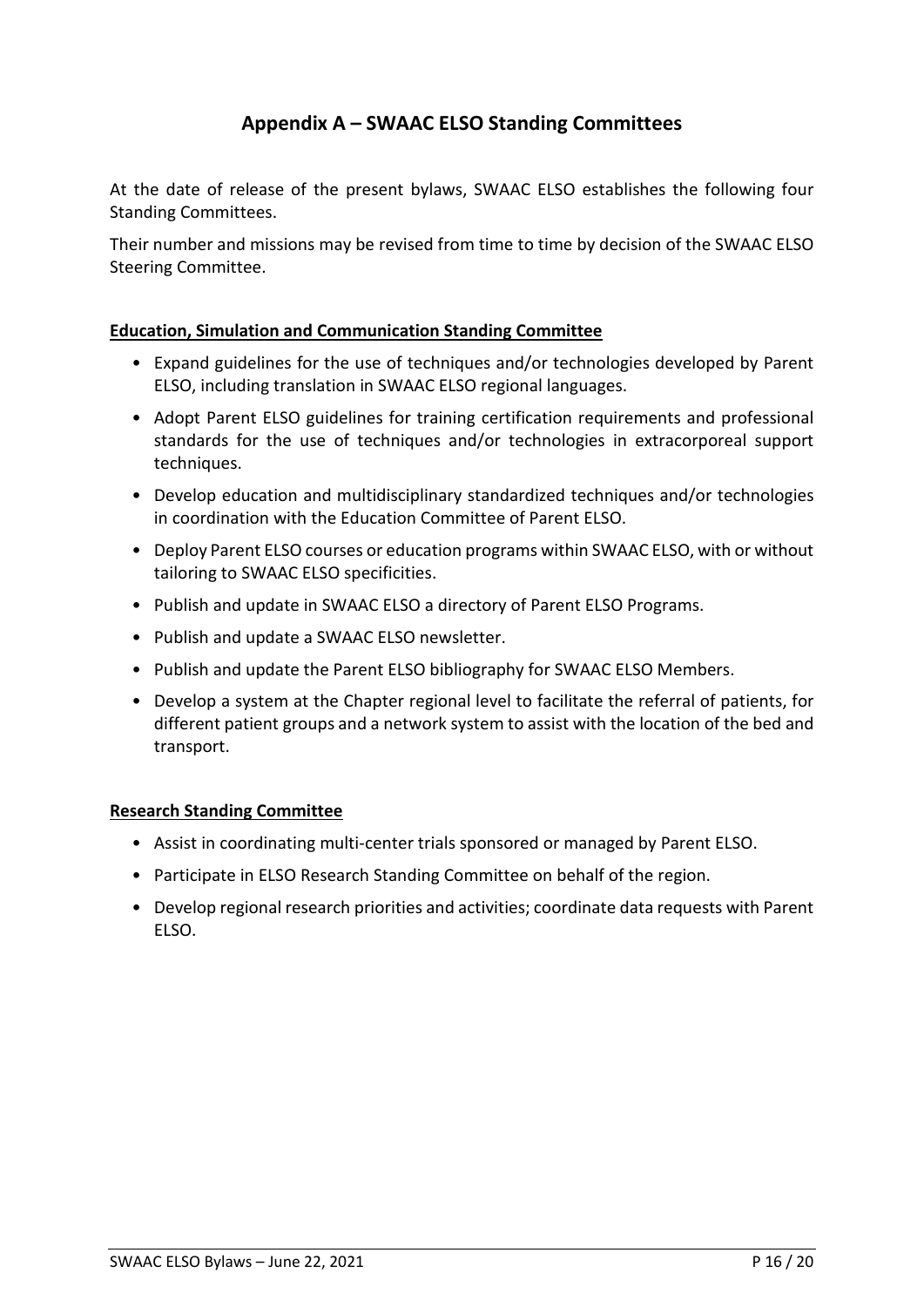# **Appendix A – SWAAC ELSO Standing Committees**

At the date of release of the present bylaws, SWAAC ELSO establishes the following four Standing Committees.

Their number and missions may be revised from time to time by decision of the SWAAC ELSO Steering Committee.

#### **Education, Simulation and Communication Standing Committee**

- Expand guidelines for the use of techniques and/or technologies developed by Parent ELSO, including translation in SWAAC ELSO regional languages.
- Adopt Parent ELSO guidelines for training certification requirements and professional standards for the use of techniques and/or technologies in extracorporeal support techniques.
- Develop education and multidisciplinary standardized techniques and/or technologies in coordination with the Education Committee of Parent ELSO.
- Deploy Parent ELSO courses or education programs within SWAAC ELSO, with or without tailoring to SWAAC ELSO specificities.
- Publish and update in SWAAC ELSO a directory of Parent ELSO Programs.
- Publish and update a SWAAC ELSO newsletter.
- Publish and update the Parent ELSO bibliography for SWAAC ELSO Members.
- Develop a system at the Chapter regional level to facilitate the referral of patients, for different patient groups and a network system to assist with the location of the bed and transport.

#### **Research Standing Committee**

- Assist in coordinating multi-center trials sponsored or managed by Parent ELSO.
- Participate in ELSO Research Standing Committee on behalf of the region.
- Develop regional research priorities and activities; coordinate data requests with Parent ELSO.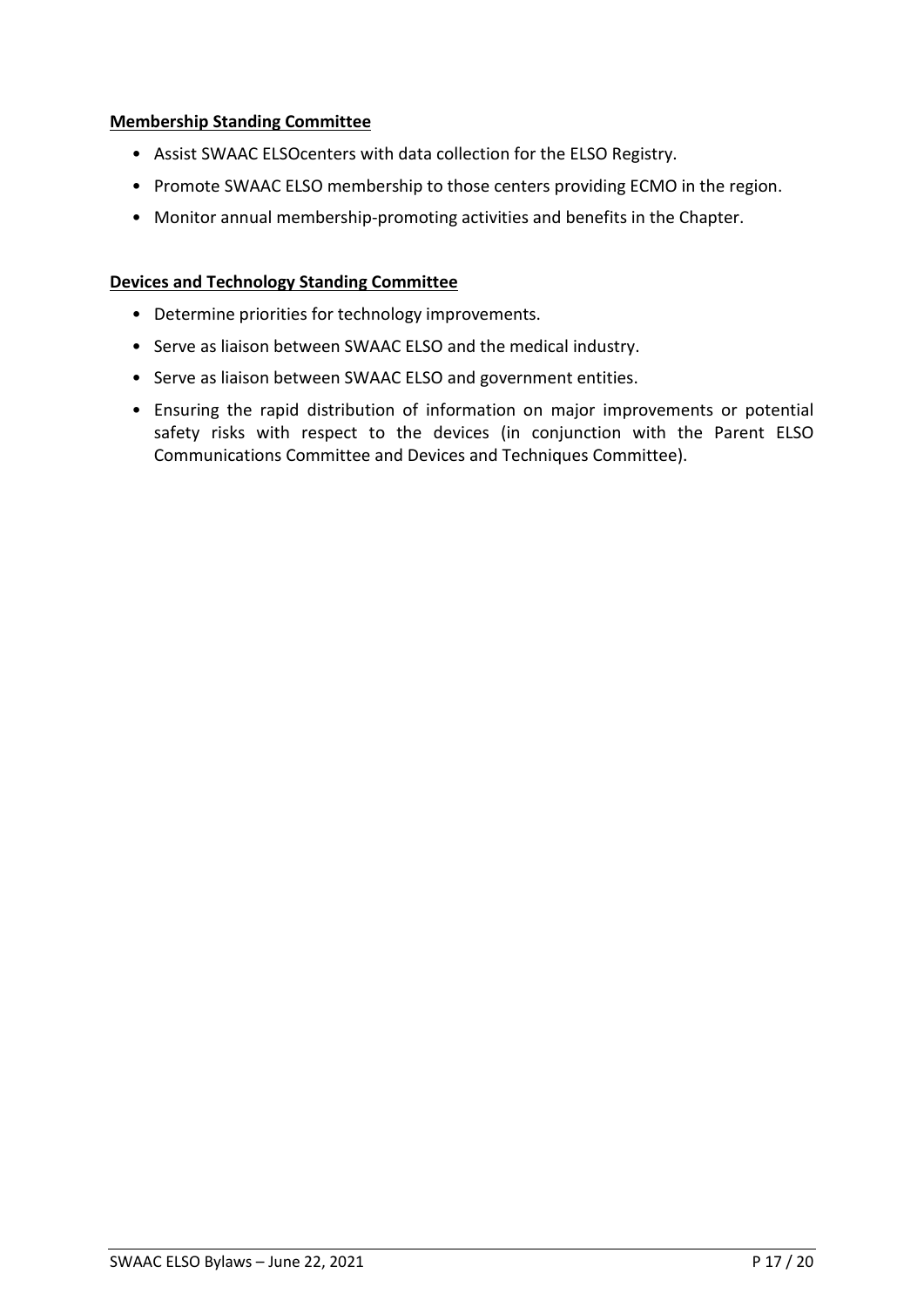#### **Membership Standing Committee**

- Assist SWAAC ELSOcenters with data collection for the ELSO Registry.
- Promote SWAAC ELSO membership to those centers providing ECMO in the region.
- Monitor annual membership-promoting activities and benefits in the Chapter.

#### **Devices and Technology Standing Committee**

- Determine priorities for technology improvements.
- Serve as liaison between SWAAC ELSO and the medical industry.
- Serve as liaison between SWAAC ELSO and government entities.
- Ensuring the rapid distribution of information on major improvements or potential safety risks with respect to the devices (in conjunction with the Parent ELSO Communications Committee and Devices and Techniques Committee).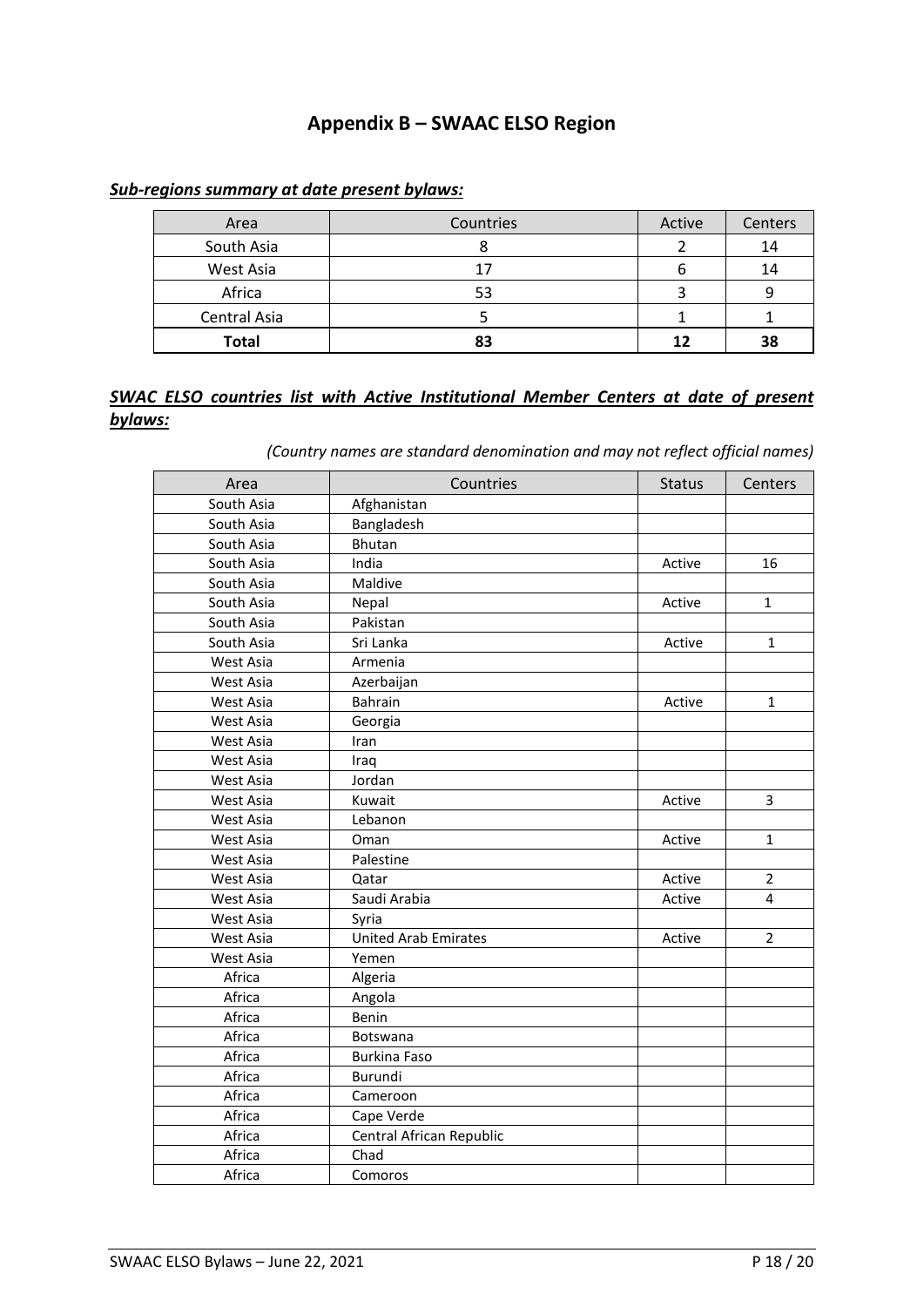### **Appendix B – SWAAC ELSO Region**

#### *Sub-regions summary at date present bylaws:*

| Area         | Countries | Active | Centers |
|--------------|-----------|--------|---------|
| South Asia   |           |        | 14      |
| West Asia    |           |        | 14      |
| Africa       | 53        |        |         |
| Central Asia |           |        |         |
| <b>Total</b> |           | 12     | 38      |

#### *SWAC ELSO countries list with Active Institutional Member Centers at date of present bylaws:*

*(Country names are standard denomination and may not reflect official names)*

| Area       | Countries                   | <b>Status</b> | Centers        |
|------------|-----------------------------|---------------|----------------|
| South Asia | Afghanistan                 |               |                |
| South Asia | Bangladesh                  |               |                |
| South Asia | <b>Bhutan</b>               |               |                |
| South Asia | India                       | Active        | 16             |
| South Asia | Maldive                     |               |                |
| South Asia | Nepal                       | Active        | $\mathbf{1}$   |
| South Asia | Pakistan                    |               |                |
| South Asia | Sri Lanka                   | Active        | $\mathbf{1}$   |
| West Asia  | Armenia                     |               |                |
| West Asia  | Azerbaijan                  |               |                |
| West Asia  | <b>Bahrain</b>              | Active        | $\mathbf{1}$   |
| West Asia  | Georgia                     |               |                |
| West Asia  | Iran                        |               |                |
| West Asia  | Iraq                        |               |                |
| West Asia  | Jordan                      |               |                |
| West Asia  | Kuwait                      | Active        | 3              |
| West Asia  | Lebanon                     |               |                |
| West Asia  | Oman                        | Active        | $\mathbf{1}$   |
| West Asia  | Palestine                   |               |                |
| West Asia  | Qatar                       | Active        | $\overline{2}$ |
| West Asia  | Saudi Arabia                | Active        | $\overline{4}$ |
| West Asia  | Syria                       |               |                |
| West Asia  | <b>United Arab Emirates</b> | Active        | $\overline{2}$ |
| West Asia  | Yemen                       |               |                |
| Africa     | Algeria                     |               |                |
| Africa     | Angola                      |               |                |
| Africa     | Benin                       |               |                |
| Africa     | Botswana                    |               |                |
| Africa     | Burkina Faso                |               |                |
| Africa     | Burundi                     |               |                |
| Africa     | Cameroon                    |               |                |
| Africa     | Cape Verde                  |               |                |
| Africa     | Central African Republic    |               |                |
| Africa     | Chad                        |               |                |
| Africa     | Comoros                     |               |                |